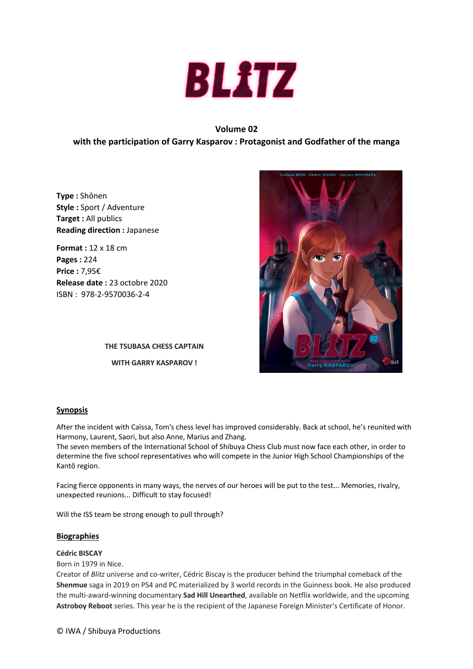

# **Volume 02**

# **with the participation of Garry Kasparov : Protagonist and Godfather of the manga**

**Type :** Shônen **Style :** Sport / Adventure **Target :** All publics **Reading direction :** Japanese

**Format :** 12 x 18 cm **Pages :** 224 **Price :** 7,95€ **Release date :** 23 octobre 2020 ISBN : 978-2-9570036-2-4

> **THE TSUBASA CHESS CAPTAIN WITH GARRY KASPAROV !**



## **Synopsis**

After the incident with Caïssa, Tom's chess level has improved considerably. Back at school, he's reunited with Harmony, Laurent, Saori, but also Anne, Marius and Zhang.

The seven members of the International School of Shibuya Chess Club must now face each other, in order to determine the five school representatives who will compete in the Junior High School Championships of the Kantô region.

Facing fierce opponents in many ways, the nerves of our heroes will be put to the test... Memories, rivalry, unexpected reunions... Difficult to stay focused!

Will the ISS team be strong enough to pull through?

## **Biographies**

## **Cédric BISCAY**

Born in 1979 in Nice.

Creator of *Blitz* universe and co-writer, Cédric Biscay is the producer behind the triumphal comeback of the **Shenmue** saga in 2019 on PS4 and PC materialized by 3 world records in the Guinness book. He also produced the multi-award-winning documentary **Sad Hill Unearthed**, available on Netflix worldwide, and the upcoming **Astroboy Reboot** series. This year he is the recipient of the Japanese Foreign Minister's Certificate of Honor.